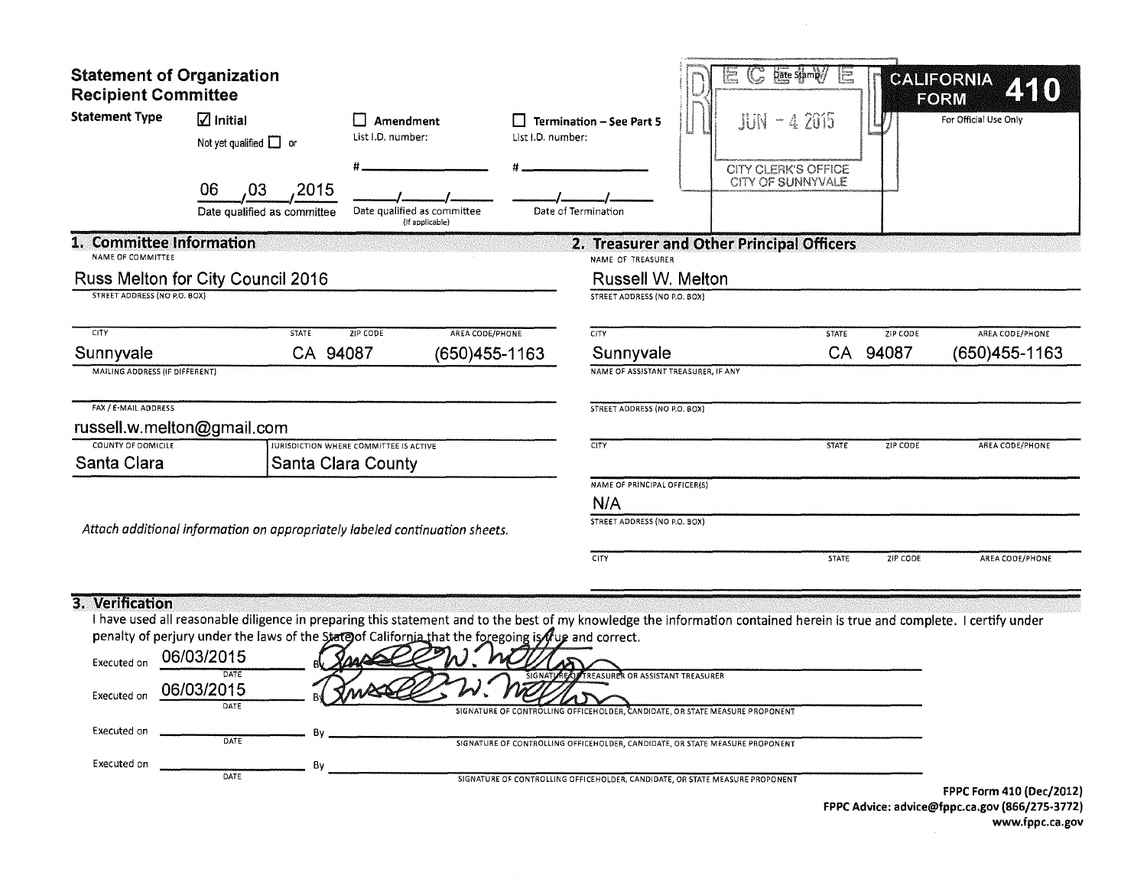| <b>Statement of Organization</b><br><b>Recipient Committee</b><br><b>Statement Type</b> | $\Box$ Initial<br>Not yet qualified $\Box$ or<br>06<br>,03<br>Date qualified as committee | Amendment<br>List I.D. number:<br>,2015                                                                                                                                                                                                                                                    | Date qualified as committee | List I.D. number: | $\Box$ Termination - See Part 5<br>Date of Termination                                                                                                                                                                                                                                  | <b>Date Stamp</b><br>$\mathbb{G}$<br>$JUN - 42015$<br><b>CITY CLERK'S OFFICE</b><br>CITY OF SUNNYVALE | Ē            |          | <b>CALIFORNIA</b><br>FORM<br>For Official Use Only |
|-----------------------------------------------------------------------------------------|-------------------------------------------------------------------------------------------|--------------------------------------------------------------------------------------------------------------------------------------------------------------------------------------------------------------------------------------------------------------------------------------------|-----------------------------|-------------------|-----------------------------------------------------------------------------------------------------------------------------------------------------------------------------------------------------------------------------------------------------------------------------------------|-------------------------------------------------------------------------------------------------------|--------------|----------|----------------------------------------------------|
| 1. Committee Information                                                                |                                                                                           |                                                                                                                                                                                                                                                                                            | (If applicable)             |                   |                                                                                                                                                                                                                                                                                         |                                                                                                       |              |          |                                                    |
| NAME OF COMMITTEE<br><b>STREET ADDRESS (NO P.O. BOX)</b>                                | Russ Melton for City Council 2016                                                         |                                                                                                                                                                                                                                                                                            |                             |                   | 2. Treasurer and Other Principal Officers<br>NAME OF TREASURER<br>Russell W. Melton<br>STREET ADDRESS (NO P.O. BOX)                                                                                                                                                                     |                                                                                                       |              |          |                                                    |
| <b>CITY</b>                                                                             |                                                                                           | <b>STATE</b><br>ZIP CODE                                                                                                                                                                                                                                                                   | AREA CODE/PHONE             |                   | <b>CITY</b>                                                                                                                                                                                                                                                                             |                                                                                                       | <b>STATE</b> | ZIP CODE | AREA CODE/PHONE                                    |
| Sunnyvale                                                                               |                                                                                           | CA 94087                                                                                                                                                                                                                                                                                   | (650)455-1163               |                   | Sunnyvale                                                                                                                                                                                                                                                                               |                                                                                                       | <b>CA</b>    | 94087    | (650)455-1163                                      |
| MAILING ADDRESS (IF DIFFERENT)                                                          |                                                                                           |                                                                                                                                                                                                                                                                                            |                             |                   | NAME OF ASSISTANT TREASURER, IF ANY                                                                                                                                                                                                                                                     |                                                                                                       |              |          |                                                    |
| FAX / E-MAIL ADDRESS                                                                    | russell.w.melton@gmail.com                                                                |                                                                                                                                                                                                                                                                                            |                             |                   | STREET ADDRESS (NO P.O. BOX)                                                                                                                                                                                                                                                            |                                                                                                       |              |          |                                                    |
| <b>COUNTY OF DOMICILE</b>                                                               |                                                                                           | <b>JURISDICTION WHERE COMMITTEE IS ACTIVE</b>                                                                                                                                                                                                                                              |                             |                   | CITY                                                                                                                                                                                                                                                                                    |                                                                                                       | <b>STATE</b> | ZIP CODE | AREA CODE/PHONE                                    |
| Santa Clara                                                                             |                                                                                           | <b>Santa Clara County</b>                                                                                                                                                                                                                                                                  |                             |                   |                                                                                                                                                                                                                                                                                         |                                                                                                       |              |          |                                                    |
|                                                                                         |                                                                                           |                                                                                                                                                                                                                                                                                            |                             |                   | NAME OF PRINCIPAL OFFICER(S)<br>N/A                                                                                                                                                                                                                                                     |                                                                                                       |              |          |                                                    |
|                                                                                         |                                                                                           |                                                                                                                                                                                                                                                                                            |                             |                   | STREET ADDRESS (NO P.O. BOX)                                                                                                                                                                                                                                                            |                                                                                                       |              |          |                                                    |
|                                                                                         |                                                                                           | Attach additional information on appropriately labeled continuation sheets.                                                                                                                                                                                                                |                             |                   |                                                                                                                                                                                                                                                                                         |                                                                                                       |              |          |                                                    |
|                                                                                         |                                                                                           |                                                                                                                                                                                                                                                                                            |                             |                   | <b>CITY</b>                                                                                                                                                                                                                                                                             |                                                                                                       | <b>STATE</b> | ZIP CODE | AREA CODE/PHONE                                    |
| 3. Verification<br>Executed on<br>Executed on<br>Executed on<br>Executed on             | 06/03/2015<br>DATE<br>06/03/2015<br>DATE<br>DATE                                          | I have used all reasonable diligence in preparing this statement and to the best of my knowledge the information contained herein is true and complete. I certify under<br>penalty of perjury under the laws of the State of California that the foregoing is fug and correct.<br>Bv<br>Bv |                             |                   | SIGNATI REQUIRED OR ASSISTANT TREASURER<br>SIGNATURE OF CONTROLLING OFFICEHOLDER, CANDIDATE, OR STATE MEASURE PROPONENT<br>SIGNATURE OF CONTROLLING OFFICEHOLDER, CANDIDATE, OR STATE MEASURE PROPONENT<br>SIGNATURE OF CONTROLLING OFFICEHOLDER, CANDIDATE, OR STATE MEASURE PROPONENT |                                                                                                       |              |          | FPPC Form 410 (Dec/2012)                           |
|                                                                                         |                                                                                           |                                                                                                                                                                                                                                                                                            |                             |                   |                                                                                                                                                                                                                                                                                         |                                                                                                       |              |          | $\overline{1}$                                     |

FPPC Advice: advice@fppc.ca.gov (866/275-3772) www.fppc.ca.gov

 $\sim 10^{-1}$